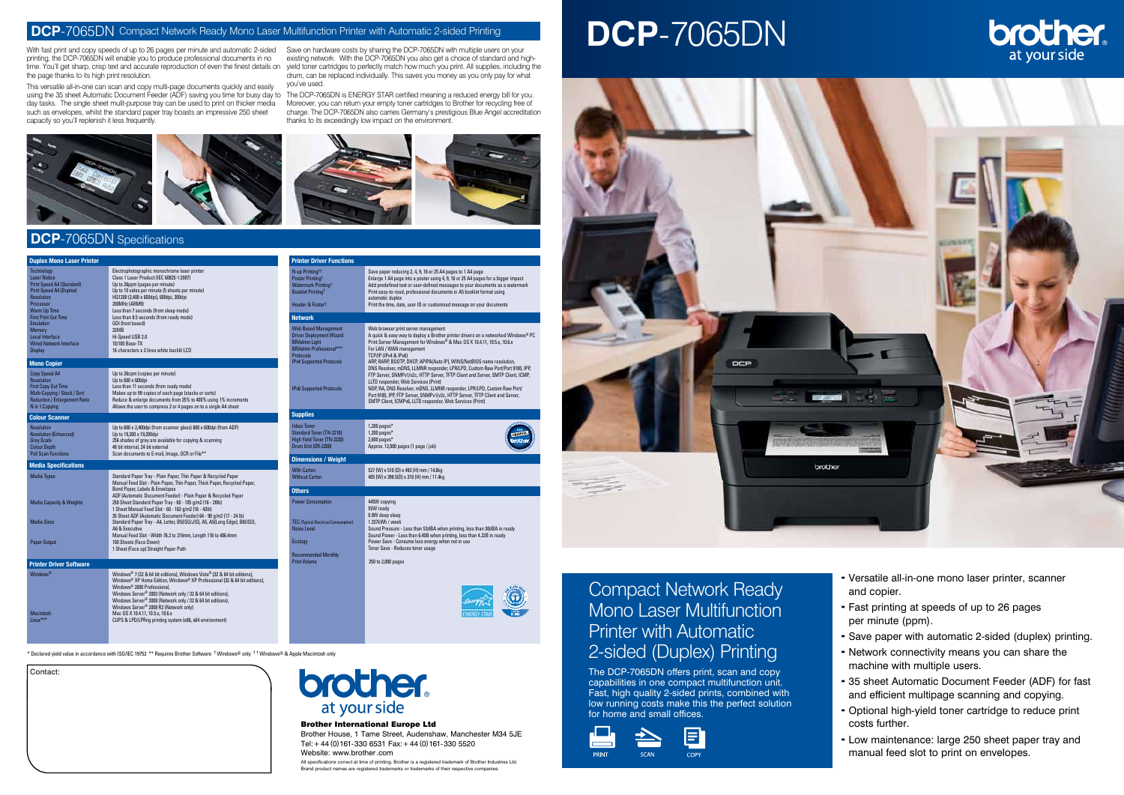\* Declared yield value in accordance with ISO/IEC 19752 \*\* Requires Brother Software † Windows® only † † Windows® & Apple Macintosh only

## Compact Network Ready Mono Laser Multifunction Printer with Automatic 2-sided (Duplex) Printing

The DCP-7065DN offers print, scan and copy capabilities in one compact multifunction unit. Fast, high quality 2-sided prints, combined with low running costs make this the perfect solution for home and small offices.





#### **DCP**-7065DN Compact Network Ready Mono Laser Multifunction Printer with Automatic 2-sided Printing

With fast print and copy speeds of up to 26 pages per minute and automatic 2-sided printing, the DCP-7065DN will enable you to produce professional documents in no the page thanks to its high print resolution.

time. You'll get sharp, crisp text and accurate reproduction of even the finest details on yield toner cartridges to perfectly match how much you print. All supplies, including the Save on hardware costs by sharing the DCP-7065DN with multiple users on your existing network. With the DCP-7065DN you also get a choice of standard and highdrum, can be replaced individually. This saves you money as you only pay for what you've used.

This versatile all-in-one can scan and copy multi-page documents quickly and easily using the 35 sheet Automatic Document Feeder (ADF) saving you time for busy day to The DCP-7065DN is ENERGY STAR certified meaning a reduced energy bill for you. day tasks. The single sheet mulit-purpose tray can be used to print on thicker media such as envelopes, whilst the standard paper tray boasts an impressive 250 sheet capacity so you'll replenish it less frequently.

> Brother House, 1 Tame Street, Audenshaw, Manchester M34 5JE Tel:+44 (0)161-330 6531 Fax:+44 (0)161-330 5520 Website: www.brother.com

Moreover, you can return your empty toner cartridges to Brother for recycling free of charge. The DCP-7065DN also carries Germany's prestigious Blue Angel accreditation thanks to its exceedingly low impact on the environment.



#### Brother International Europe Ltd

All specifications correct at time of printing. Brother is a registered trademark of Brother Industries Ltd. Brand product names are registered trademarks or trademarks of their respective companies.

| <b>Duplex Mono Laser Printer</b>                                                                                                                                 |                                                                                                                                                                                                                                                                                                                                                                                                                                                               | <b>Printer Driver Functions</b>                                                                                                                                  |                                                                                                                                                                                                                                                                                                                                                                                                                                  |
|------------------------------------------------------------------------------------------------------------------------------------------------------------------|---------------------------------------------------------------------------------------------------------------------------------------------------------------------------------------------------------------------------------------------------------------------------------------------------------------------------------------------------------------------------------------------------------------------------------------------------------------|------------------------------------------------------------------------------------------------------------------------------------------------------------------|----------------------------------------------------------------------------------------------------------------------------------------------------------------------------------------------------------------------------------------------------------------------------------------------------------------------------------------------------------------------------------------------------------------------------------|
| <b>Technology</b><br><b>Laser Notice</b><br><b>Print Speed A4 (Standard)</b><br><b>Print Speed A4 (Duplex)</b><br><b>Resolution</b><br>Processor<br>Warm Up Time | Electrophotographic monochrome laser printer<br>Class 1 Laser Product (IEC 60825-1:2007)<br>Up to 26ppm (pages per minute)<br>Up to 10 sides per minute (5 sheets per minute)<br>HQ1200 (2,400 x 600dpi), 600dpi, 300dpi<br>200MHz (ARM9)<br>Less than 7 seconds (from sleep mode)                                                                                                                                                                            | N-up Printing <sup>tt</sup><br>Poster Printing <sup>†</sup><br><b>Watermark Printing<sup>t</sup></b><br><b>Booklet Printing!</b><br>Header & Footer <sup>†</sup> | Save paper reducing 2, 4, 9, 16 or 25 A4 pages to 1 A4 page<br>Enlarge 1 A4 page into a poster using 4, 9, 16 or 25 A4 pages for a bigger impact<br>Add predefined text or user-defined messages to your documents as a watermark<br>Print easy-to-read, professional documents in A5 booklet format using<br>automatic duplex<br>Print the time, date, user ID or customised message on your documents                          |
| <b>First Print Out Time</b><br><b>Emulation</b>                                                                                                                  | Less than 8.5 seconds (from ready mode)<br>GDI (host based)                                                                                                                                                                                                                                                                                                                                                                                                   | <b>Network</b>                                                                                                                                                   |                                                                                                                                                                                                                                                                                                                                                                                                                                  |
| Memory<br>Local Interface<br><b>Wired Network Interface</b><br><b>Display</b>                                                                                    | 32MB<br>Hi-Speed USB 2.0<br>10/100 Base-TX<br>16 characters x 2 lines white backlit LCD                                                                                                                                                                                                                                                                                                                                                                       | <b>Web Based Management</b><br><b>Driver Deployment Wizard</b><br><b>BRAdmin Light</b><br><b>BRAdmin Professional***</b><br><b>Protocols</b>                     | Web browser print server management<br>A quick & easy way to deploy a Brother printer drivers on a networked Windows® PC<br>Print Server Management for Windows® & Mac OS X 10.4.11, 10.5.x, 10.6.x<br>For LAN / WAN management<br>TCP/IP (IPv4 & IPv6)                                                                                                                                                                          |
| <b>Mono Copier</b>                                                                                                                                               |                                                                                                                                                                                                                                                                                                                                                                                                                                                               | <b>IPv4 Supported Protocols</b>                                                                                                                                  | ARP, RARP, BOOTP, DHCP, APIPA(Auto IP), WINS/NetBIOS name resolution,                                                                                                                                                                                                                                                                                                                                                            |
| Copy Speed A4<br>Resolution<br><b>First Copy Out Time</b><br>Multi-Copying / Stack / Sort<br><b>Reduction / Enlargement Ratio</b><br>N in 1 Copying              | Up to 26cpm (copies per minute)<br>Up to 600 x 600dpi<br>Less than 11 seconds (from ready mode)<br>Makes up to 99 copies of each page (stacks or sorts)<br>Reduce & enlarge documents from 25% to 400% using 1% increments<br>Allows the user to compress 2 or 4 pages on to a single A4 sheet                                                                                                                                                                | IPv6 Supported Protocols                                                                                                                                         | DNS Resolver, mDNS, LLMNR responder, LPR/LPD, Custom Raw Port/Port 9100, IPP,<br>FTP Server, SNMPv1/v2c, HTTP Server, TFTP Client and Server, SMTP Client, ICMP,<br>LLTD responder, Web Services (Print)<br>NDP, RA, DNS Resolver, mDNS, LLMNR responder, LPR/LPD, Custom Raw Port/<br>Port 9100, IPP, FTP Server, SNMPv1/v2c, HTTP Server, TFTP Client and Server,<br>SMTP Client, ICMPv6, LLTD responder, Web Services (Print) |
| <b>Colour Scanner</b>                                                                                                                                            |                                                                                                                                                                                                                                                                                                                                                                                                                                                               | <b>Supplies</b>                                                                                                                                                  |                                                                                                                                                                                                                                                                                                                                                                                                                                  |
| <b>Resolution</b><br><b>Resolution (Enhanced)</b><br><b>Grey Scale</b><br><b>Colour Depth</b><br><b>Pull Scan Functions</b>                                      | Up to 600 x 2,400dpi (from scanner glass) 600 x 600dpi (from ADF)<br>Up to 19.200 x 19.200dpi<br>256 shades of grey are available for copying & scanning<br>48 bit internal, 24 bit external<br>Scan documents to E-mail, Image, OCR or File**                                                                                                                                                                                                                | <b>Inbox Toner</b><br>Standard Toner (TN-2210)<br>High Yield Toner (TN-2220)<br>Drum Unit (DR-2200)                                                              | $1,200$ pages*<br>$1,200$ pages*<br>$2,600$ pages*<br>prother<br>Approx. 12,000 pages (1 page / job)                                                                                                                                                                                                                                                                                                                             |
|                                                                                                                                                                  |                                                                                                                                                                                                                                                                                                                                                                                                                                                               | <b>Dimensions / Weight</b>                                                                                                                                       |                                                                                                                                                                                                                                                                                                                                                                                                                                  |
| <b>Media Specifications</b><br><b>Media Types</b>                                                                                                                | Standard Paper Tray - Plain Paper, Thin Paper & Recycled Paper<br>Manual Feed Slot - Plain Paper, Thin Paper, Thick Paper, Recycled Paper,                                                                                                                                                                                                                                                                                                                    | <b>With Carton</b><br><b>Without Carton</b>                                                                                                                      | 527 (W) x 510 (D) x 493 (H) mm / 14.6kg<br>405 (W) x 398.5(D) x 316 (H) mm / 11.4kg                                                                                                                                                                                                                                                                                                                                              |
|                                                                                                                                                                  | Bond Paper, Labels & Envelopes                                                                                                                                                                                                                                                                                                                                                                                                                                | <b>Others</b>                                                                                                                                                    |                                                                                                                                                                                                                                                                                                                                                                                                                                  |
| <b>Media Capacity &amp; Weights</b><br><b>Media Sizes</b>                                                                                                        | ADF (Automatic Document Feeder) - Plain Paper & Recycled Paper<br>250 Sheet Standard Paper Tray - 60 - 105 g/m2 (16 - 28lb)<br>1 Sheet Manual Feed Slot - 60 - 163 q/m2 (16 - 43lb)<br>35 Sheet ADF (Automatic Document Feeder) 64 - 90 q/m2 (17 - 24 lb)<br>Standard Paper Tray - A4, Letter, B5(ISO/JIS), A5, A5(Long Edge), B6(ISO),<br>A6 & Executive<br>Manual Feed Slot - Width 76.2 to 216mm, Length 116 to 406.4mm                                    | <b>Power Consumption</b><br><b>TEC</b> (Typical Electrical Consumption)<br><b>Noise Level</b>                                                                    | 445W copying<br>55W readv<br>0.9W deep sleep<br>1.337kWh / week<br>Sound Pressure - Less than 53dBA when printing, less than 30dBA in ready<br>Sound Power - Less than 6.40B when printing, less than 4.22B in ready                                                                                                                                                                                                             |
| Paper Output                                                                                                                                                     | 100 Sheets (Face Down)<br>1 Sheet (Face up) Straight Paper Path                                                                                                                                                                                                                                                                                                                                                                                               | Ecology<br><b>Recommended Monthly</b>                                                                                                                            | Power Save - Consume less energy when not in use<br>Toner Save - Reduces toner usage                                                                                                                                                                                                                                                                                                                                             |
| <b>Printer Driver Software</b>                                                                                                                                   |                                                                                                                                                                                                                                                                                                                                                                                                                                                               | <b>Print Volume</b>                                                                                                                                              | 250 to 2,000 pages                                                                                                                                                                                                                                                                                                                                                                                                               |
| Windows $^\circledR$<br>Macintosh<br>Linux***                                                                                                                    | Windows® 7 (32 & 64 bit editions), Windows Vista® (32 & 64 bit editions),<br>Windows® XP Home Edition, Windows® XP Professional (32 & 64 bit editions),<br>Windows® 2000 Professional.<br>Windows Server® 2003 (Network only / 32 & 64 bit editions),<br>Windows Server® 2008 (Network only / 32 & 64 bit editions),<br>Windows Server® 2008 R2 (Network only)<br>Mac OS X 10.4.11, 10.5.x, 10.6.x<br>CUPS & LPD/LPRng printing system (x86, x64 environment) |                                                                                                                                                                  |                                                                                                                                                                                                                                                                                                                                                                                                                                  |
|                                                                                                                                                                  |                                                                                                                                                                                                                                                                                                                                                                                                                                                               |                                                                                                                                                                  |                                                                                                                                                                                                                                                                                                                                                                                                                                  |

#### **DCP**-7065DN Specifications

- Versatile all-in-one mono laser printer, scanner and copier.
- Fast printing at speeds of up to 26 pages per minute (ppm).
- Save paper with automatic 2-sided (duplex) printing.
- Network connectivity means you can share the machine with multiple users.
- 35 sheet Automatic Document Feeder (ADF) for fast and efficient multipage scanning and copying.
- Optional high-yield toner cartridge to reduce print costs further.
- Low maintenance: large 250 sheet paper tray and manual feed slot to print on envelopes.

# **DCP**-7065DN



| Contact: |  |
|----------|--|
|          |  |
|          |  |
|          |  |
|          |  |
|          |  |